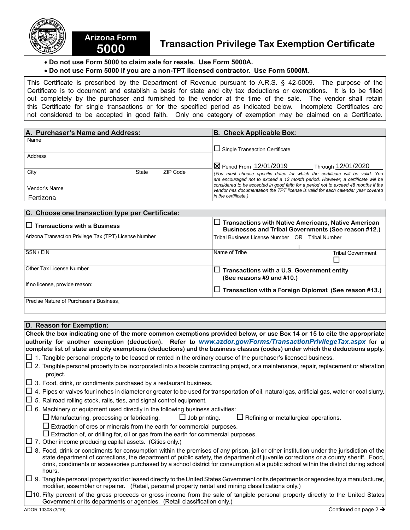

## **5000 Transaction Privilege Tax Exemption Certificate**

## • **Do not use Form 5000 to claim sale for resale. Use Form 5000A.**

**Arizona Form** 

## • **Do not use Form 5000 if you are a non-TPT licensed contractor. Use Form 5000M.**

This Certificate is prescribed by the Department of Revenue pursuant to A.R.S. § 42-5009. The purpose of the Certificate is to document and establish a basis for state and city tax deductions or exemptions. It is to be filled out completely by the purchaser and furnished to the vendor at the time of the sale. The vendor shall retain this Certificate for single transactions or for the specified period as indicated below. Incomplete Certificates are not considered to be accepted in good faith. Only one category of exemption may be claimed on a Certificate.

| A. Purchaser's Name and Address: |       |          | <b>B. Check Applicable Box:</b>                                                                                                                                       |  |
|----------------------------------|-------|----------|-----------------------------------------------------------------------------------------------------------------------------------------------------------------------|--|
| Name                             |       |          |                                                                                                                                                                       |  |
|                                  |       |          | $\Box$ Single Transaction Certificate                                                                                                                                 |  |
| Address                          |       |          |                                                                                                                                                                       |  |
|                                  |       |          | $\boxtimes$ Period From 12/01/2019<br>Through 12/01/2020                                                                                                              |  |
| City                             | State | ZIP Code | (You must choose specific dates for which the certificate will be valid. You                                                                                          |  |
|                                  |       |          | are encouraged not to exceed a 12 month period. However, a certificate will be<br>considered to be accepted in good faith for a period not to exceed 48 months if the |  |
| Vendor's Name                    |       |          | vendor has documentation the TPT license is valid for each calendar year covered                                                                                      |  |
| Fertizona                        |       |          | in the certificate.)                                                                                                                                                  |  |

| C. Choose one transaction type per Certificate:        |                                                              |                                                                                                                   |  |  |  |
|--------------------------------------------------------|--------------------------------------------------------------|-------------------------------------------------------------------------------------------------------------------|--|--|--|
| $\Box$ Transactions with a Business                    |                                                              | $\Box$ Transactions with Native Americans, Native American<br>Businesses and Tribal Governments (See reason #12.) |  |  |  |
| Arizona Transaction Privilege Tax (TPT) License Number | Tribal Business License Number OR Tribal Number              |                                                                                                                   |  |  |  |
| SSN / EIN                                              | Name of Tribe                                                | <b>Tribal Government</b>                                                                                          |  |  |  |
| Other Tax License Number                               | (See reasons $#9$ and $#10$ .)                               | $\Box$ Transactions with a U.S. Government entity                                                                 |  |  |  |
| If no license, provide reason:                         | $\Box$ Transaction with a Foreign Diplomat (See reason #13.) |                                                                                                                   |  |  |  |
| Precise Nature of Purchaser's Business.                |                                                              |                                                                                                                   |  |  |  |

## **D. Reason for Exemption:**

**Check the box indicating one of the more common exemptions provided below, or use Box 14 or 15 to cite the appropriate authority for another exemption (deduction). Refer to** *www.azdor.gov/Forms/TransactionPrivilegeTax.aspx* **for a complete list of state and city exemptions (deductions) and the business classes (codes) under which the deductions apply.**   $\Box$  1. Tangible personal property to be leased or rented in the ordinary course of the purchaser's licensed business.  $\Box$  2. Tangible personal property to be incorporated into a taxable contracting project, or a maintenance, repair, replacement or alteration project.  $\Box$  3. Food, drink, or condiments purchased by a restaurant business.  $\Box$  4. Pipes or valves four inches in diameter or greater to be used for transportation of oil, natural gas, artificial gas, water or coal slurry.  $\Box$  5. Railroad rolling stock, rails, ties, and signal control equipment.  $\Box$  6. Machinery or equipment used directly in the following business activities:  $\Box$  Manufacturing, processing or fabricating.  $\Box$  Job printing.  $\Box$  Refining or metallurgical operations.  $\square$  Extraction of ores or minerals from the earth for commercial purposes.  $\square$  Extraction of, or drilling for, oil or gas from the earth for commercial purposes.  $\Box$  7. Other income producing capital assets. (Cities only.)  $\Box$  8. Food, drink or condiments for consumption within the premises of any prison, iail or other institution under the iurisdiction of the state department of corrections, the department of public safety, the department of juvenile corrections or a county sheriff. Food, drink, condiments or accessories purchased by a school district for consumption at a public school within the district during school hours.  $\Box$  9. Tangible personal property sold or leased directly to the United States Government or its departments or agencies by a manufacturer, modifier, assembler or repairer. (Retail, personal property rental and mining classifications only.)

 $\Box$ 10. Fifty percent of the gross proceeds or gross income from the sale of tangible personal property directly to the United States Government or its departments or agencies. (Retail classification only.)